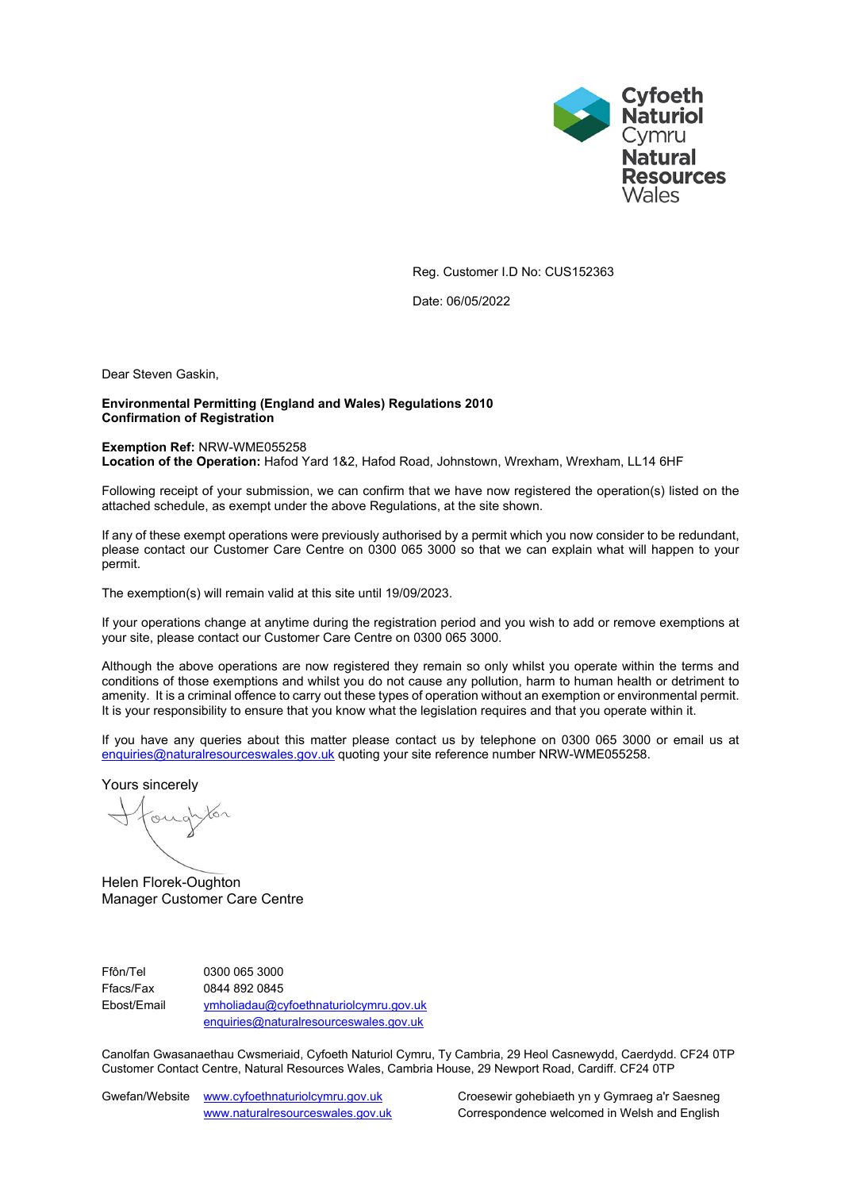

Reg. Customer I.D No: CUS152363

Date: 06/05/2022

Dear Steven Gaskin,

### **Environmental Permitting (England and Wales) Regulations 2010 Confirmation of Registration**

#### **Exemption Ref:** NRW-WME055258

**Location of the Operation:** Hafod Yard 1&2, Hafod Road, Johnstown, Wrexham, Wrexham, LL14 6HF

Following receipt of your submission, we can confirm that we have now registered the operation(s) listed on the attached schedule, as exempt under the above Regulations, at the site shown.

If any of these exempt operations were previously authorised by a permit which you now consider to be redundant, please contact our Customer Care Centre on 0300 065 3000 so that we can explain what will happen to your permit.

The exemption(s) will remain valid at this site until 19/09/2023.

If your operations change at anytime during the registration period and you wish to add or remove exemptions at your site, please contact our Customer Care Centre on 0300 065 3000.

Although the above operations are now registered they remain so only whilst you operate within the terms and conditions of those exemptions and whilst you do not cause any pollution, harm to human health or detriment to amenity. It is a criminal offence to carry out these types of operation without an exemption or environmental permit. It is your responsibility to ensure that you know what the legislation requires and that you operate within it.

If you have any queries about this matter please contact us by telephone on 0300 065 3000 or email us at [enquiries@naturalresourceswales.gov.uk](mailto:enquiries@naturalresourceswales.gov.uk) quoting your site reference number NRW-WME055258.

Yours sincerely

oug

Helen Florek-Oughton Manager Customer Care Centre

Ffôn/Tel 0300 065 3000 Ffacs/Fax 0844 892 0845 Ebost/Email [ymholiadau@cyfoethnaturiolcymru.gov.uk](mailto:ymholiadau@cyfoethnaturiolcymru.gov.uk) [enquiries@naturalresourceswales.gov.uk](mailto:enquiries@naturalresourceswales.gov.uk)

Canolfan Gwasanaethau Cwsmeriaid, Cyfoeth Naturiol Cymru, Ty Cambria, 29 Heol Casnewydd, Caerdydd. CF24 0TP Customer Contact Centre, Natural Resources Wales, Cambria House, 29 Newport Road, Cardiff. CF24 0TP

Gwefan/Website [www.cyfoethnaturiolcymru.gov.uk](file:///C:/Users/dcarpenter/AppData/Local/Microsoft/Windows/Temporary%20Internet%20Files/Content.Outlook/WZAC8E91/www.cyfoethnaturiolcymru.gov.uk) Croesewir gohebiaeth yn y Gymraeg a'r Saesneg

[www.naturalresourceswales.gov.uk](file:///C:/Users/dcarpenter/AppData/Local/Microsoft/Windows/Temporary%20Internet%20Files/Content.Outlook/WZAC8E91/www.naturalresourceswales.gov.uk) Correspondence welcomed in Welsh and English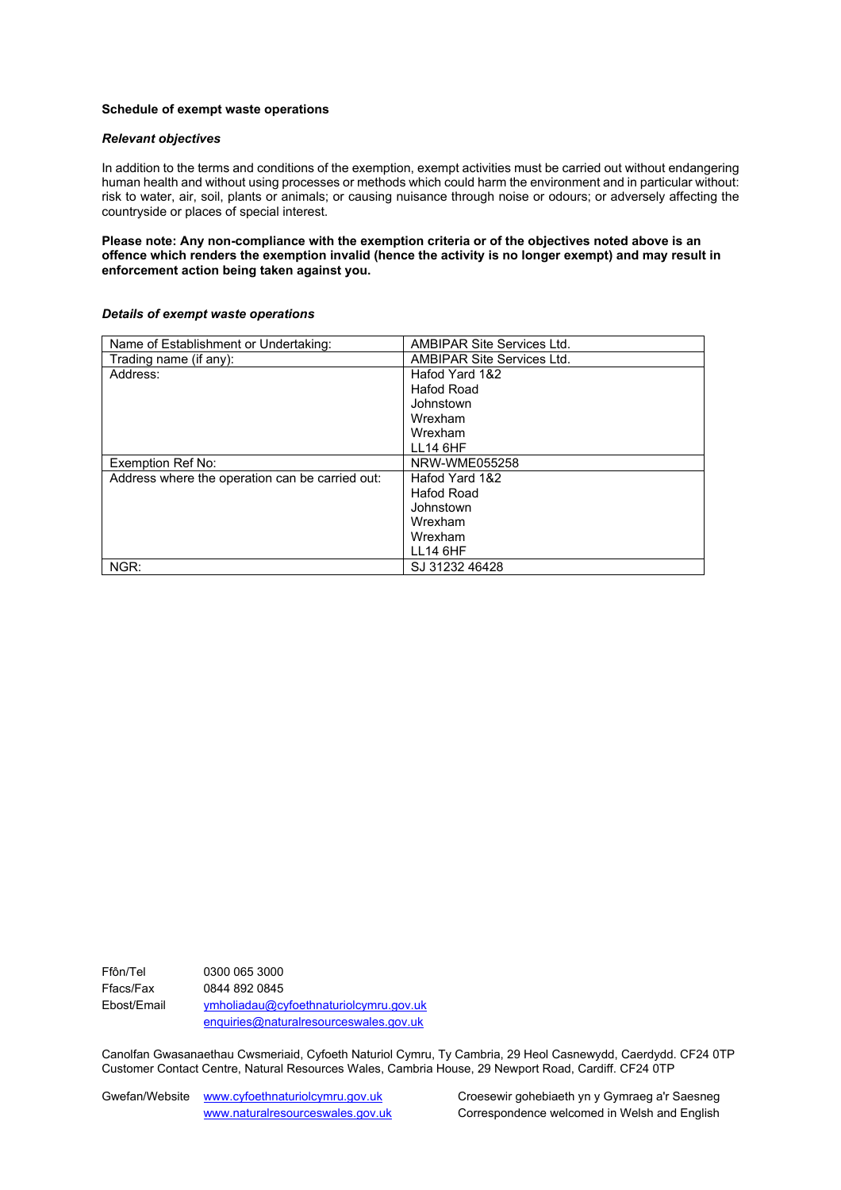#### **Schedule of exempt waste operations**

#### *Relevant objectives*

In addition to the terms and conditions of the exemption, exempt activities must be carried out without endangering human health and without using processes or methods which could harm the environment and in particular without: risk to water, air, soil, plants or animals; or causing nuisance through noise or odours; or adversely affecting the countryside or places of special interest.

**Please note: Any non-compliance with the exemption criteria or of the objectives noted above is an offence which renders the exemption invalid (hence the activity is no longer exempt) and may result in enforcement action being taken against you.**

#### *Details of exempt waste operations*

| Name of Establishment or Undertaking:           | AMBIPAR Site Services Ltd. |
|-------------------------------------------------|----------------------------|
| Trading name (if any):                          | AMBIPAR Site Services Ltd. |
| Address:                                        | Hafod Yard 1&2             |
|                                                 | Hafod Road                 |
|                                                 | Johnstown                  |
|                                                 | Wrexham                    |
|                                                 | Wrexham                    |
|                                                 | <b>LL14 6HF</b>            |
| Exemption Ref No:                               | NRW-WME055258              |
| Address where the operation can be carried out: | Hafod Yard 1&2             |
|                                                 | Hafod Road                 |
|                                                 | Johnstown                  |
|                                                 | Wrexham                    |
|                                                 | Wrexham                    |
|                                                 | <b>LL14 6HF</b>            |
| NGR:                                            | SJ 31232 46428             |

Ffôn/Tel 0300 065 3000 Ffacs/Fax 0844 892 0845 Ebost/Email [ymholiadau@cyfoethnaturiolcymru.gov.uk](mailto:ymholiadau@cyfoethnaturiolcymru.gov.uk) [enquiries@naturalresourceswales.gov.uk](mailto:enquiries@naturalresourceswales.gov.uk)

Canolfan Gwasanaethau Cwsmeriaid, Cyfoeth Naturiol Cymru, Ty Cambria, 29 Heol Casnewydd, Caerdydd. CF24 0TP Customer Contact Centre, Natural Resources Wales, Cambria House, 29 Newport Road, Cardiff. CF24 0TP

Gwefan/Website [www.cyfoethnaturiolcymru.gov.uk](file:///C:/Users/dcarpenter/AppData/Local/Microsoft/Windows/Temporary%20Internet%20Files/Content.Outlook/WZAC8E91/www.cyfoethnaturiolcymru.gov.uk) Croesewir gohebiaeth yn y Gymraeg a'r Saesneg

[www.naturalresourceswales.gov.uk](file:///C:/Users/dcarpenter/AppData/Local/Microsoft/Windows/Temporary%20Internet%20Files/Content.Outlook/WZAC8E91/www.naturalresourceswales.gov.uk) Correspondence welcomed in Welsh and English